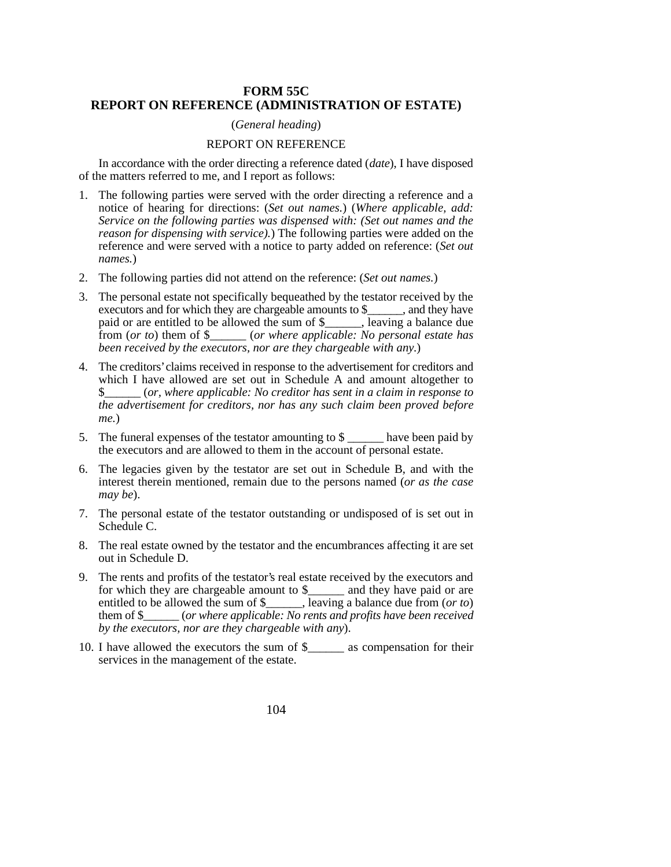## **FORM 55C REPORT ON REFERENCE (ADMINISTRATION OF ESTATE)**

## (*General heading*)

## REPORT ON REFERENCE

In accordance with the order directing a reference dated (*date*), I have disposed of the matters referred to me, and I report as follows:

- 1. The following parties were served with the order directing a reference and a notice of hearing for directions: (*Set out names.*) (*Where applicable, add: Service on the following parties was dispensed with: (Set out names and the reason for dispensing with service).*) The following parties were added on the reference and were served with a notice to party added on reference: (*Set out names.*)
- 2. The following parties did not attend on the reference: (*Set out names.*)
- 3. The personal estate not specifically bequeathed by the testator received by the executors and for which they are chargeable amounts to \$\_\_\_\_\_, and they have paid or are entitled to be allowed the sum of \$\_\_\_\_\_\_, leaving a balance due from (*or to*) them of \$\_\_\_\_\_\_ (*or where applicable: No personal estate has been received by the executors, nor are they chargeable with any.*)
- 4. The creditors' claims received in response to the advertisement for creditors and which I have allowed are set out in Schedule A and amount altogether to \$\_\_\_\_\_\_ (*or, where applicable: No creditor has sent in a claim in response to the advertisement for creditors, nor has any such claim been proved before me.*)
- 5. The funeral expenses of the testator amounting to \$ \_\_\_\_\_\_ have been paid by the executors and are allowed to them in the account of personal estate.
- 6. The legacies given by the testator are set out in Schedule B, and with the interest therein mentioned, remain due to the persons named (*or as the case may be*).
- 7. The personal estate of the testator outstanding or undisposed of is set out in Schedule C.
- 8. The real estate owned by the testator and the encumbrances affecting it are set out in Schedule D.
- 9. The rents and profits of the testator's real estate received by the executors and for which they are chargeable amount to \$\_\_\_\_\_\_ and they have paid or are entitled to be allowed the sum of \$\_\_\_\_\_\_, leaving a balance due from (*or to*) them of \$\_\_\_\_\_\_ (*or where applicable: No rents and profits have been received by the executors, nor are they chargeable with any*).
- 10. I have allowed the executors the sum of \$\_\_\_\_\_\_ as compensation for their services in the management of the estate.